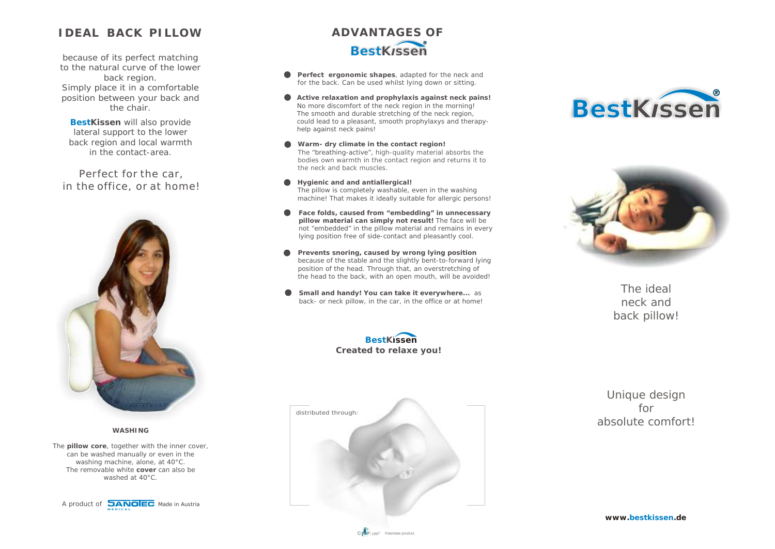#### *IDEAL BACK PILLOW*

*to the natural curve of the lower back region. Simply place it in a comfortable position between your back and the chair.*

**BestKissen will also provide** *lateral support to the lower back region and local warmth in the contact-area.*

*Perfect for the car, in the office, or at home!*





*The pillow core, together with the inner cover, can be washed manually or even in the washing machine, alone, at 40°C. The removable white cover can also be washed at 40°C.*

A product of **DANOIEC** Made in Austria **MED ICA L**

# *because of its perfect matching because of its perfect matching ADVANTAGES OF*

- *Perfect ergonomic shapes, adapted for the neck and for the back. Can be used whilst lying down or sitting.*
- $\bullet$ *Active relaxation and prophylaxis against neck pains! No more discomfort of the neck region in the morning! The smooth and durable stretching of the neck region, could lead to a pleasant, smooth prophylaxys and therapyhelp against neck pains!*
- $\bullet$ *Warm- dry climate in the contact region! The "breathing-active", high-quality material absorbs the bodies own warmth in the contact region and returns it to the neck and back muscles.*
- *Hygienic and and antiallergical! The pillow is completely washable, even in the washing machine! That makes it ideally suitable for allergic persons!*
- $\bullet$ *Face folds, caused from "embedding" in unnecessary pillow material can simply not result! The face will be not "embedded" in the pillow material and remains in every lying position free of side-contact and pleasantly cool.*
- *Prevents snoring, caused by wrong lying position*  $\bullet$ *because of the stable and the slightly bent-to-forward lying position of the head. Through that, an overstretching of the head to the back, with an open mouth, will be avoided!*
- *Small and handy! You can take it everywhere... as back- or neck pillow, in the car, in the office or at home!*









*The ideal neck and back pillow!*

*Unique design for absolute comfort!*